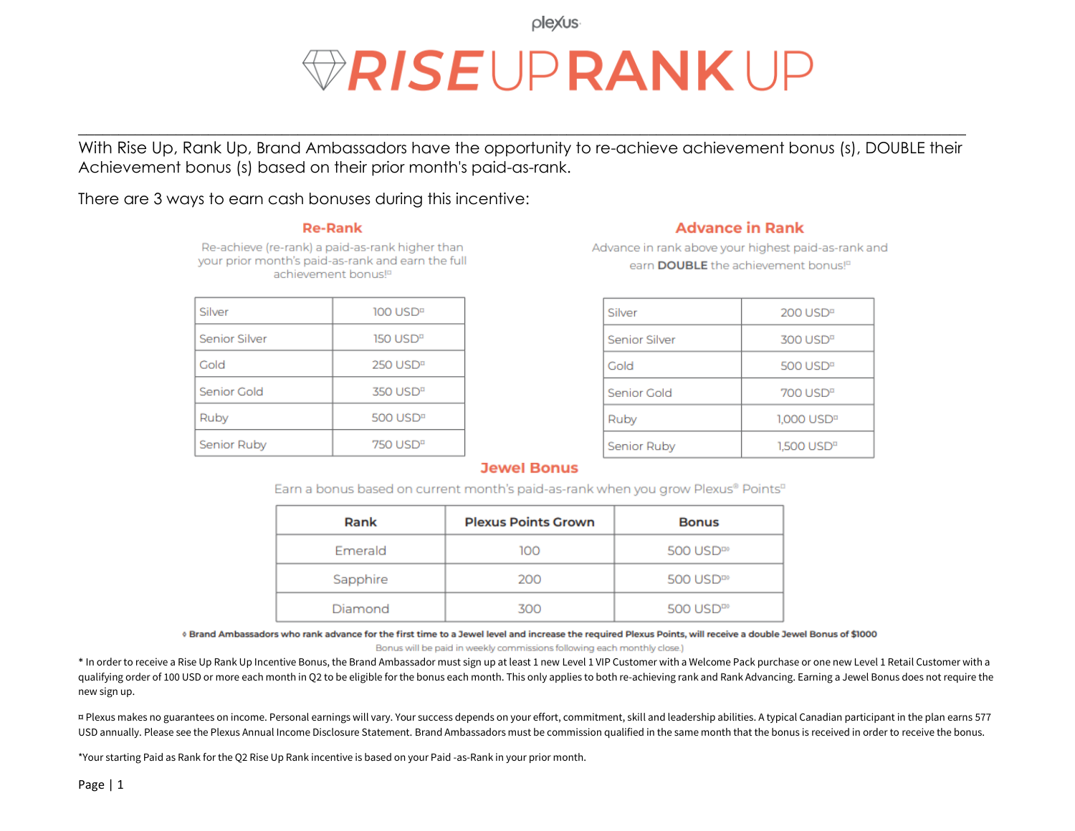olexus

# *RISEUPRANKUP*

With Rise Up, Rank Up, Brand Ambassadors have the opportunity to re-achieve achievement bonus (s), DOUBLE their Achievement bonus (s) based on their prior month's paid-as-rank.

 $\_$  , and the set of the set of the set of the set of the set of the set of the set of the set of the set of the set of the set of the set of the set of the set of the set of the set of the set of the set of the set of th

There are 3 ways to earn cash bonuses during this incentive:

#### **Re-Rank**

Re-achieve (re-rank) a paid-as-rank higher than your prior month's paid-as-rank and earn the full achievement bonus<sup>to</sup>

| Silver               | 100 USD <sup>B</sup>                |
|----------------------|-------------------------------------|
| <b>Senior Silver</b> | $150 \text{ USD}^n$                 |
| Gold                 | $250$ USD <sup><math>n</math></sup> |
| Senior Gold          | $350 \text{ USD}^n$                 |
| Ruby                 | $500$ USD <sup><math>a</math></sup> |
| Senior Ruby          | $750 \text{ USD}^n$                 |

#### **Advance in Rank**

Advance in rank above your highest paid-as-rank and earn DOUBLE the achievement bonus!<sup>12</sup>

| Silver        | 200 USD <sup>B</sup>                |
|---------------|-------------------------------------|
| Senior Silver | $300$ USD <sup><math>n</math></sup> |
| Gold          | $500$ USD <sup><math>n</math></sup> |
| Senior Gold   | $700$ USD <sup><math>n</math></sup> |
| Ruby          | 1,000 USD <sup>¤</sup>              |
| Senior Ruby   | 1,500 USD <sup>¤</sup>              |

#### **Jewel Bonus**

Earn a bonus based on current month's paid-as-rank when you grow Plexus® Points<sup>¤</sup>

| Rank     | <b>Plexus Points Grown</b> | <b>Bonus</b>          |
|----------|----------------------------|-----------------------|
| Emerald  | 100                        | 500 USD <sup>II</sup> |
| Sapphire | 200                        | 500 USD <sup>II</sup> |
| Diamond  | 300                        | 500 USD <sup>II</sup> |

© Brand Ambassadors who rank advance for the first time to a Jewel level and increase the required Plexus Points, will receive a double Jewel Bonus of \$1000

Bonus will be paid in weekly commissions following each monthly close.)

\* In order to receive a Rise Up Rank Up Incentive Bonus, the Brand Ambassador must sign up at least 1 new Level 1 VIP Customer with a Welcome Pack purchase or one new Level 1 Retail Customer with a qualifying order of 100 USD or more each month in Q2 to be eligible for the bonus each month. This only applies to both re-achieving rank and Rank Advancing. Earning a Jewel Bonus does not require the new sign up.

¤ Plexus makes no guarantees on income. Personal earnings will vary. Your success depends on your effort, commitment, skill and leadership abilities. A typical Canadian participant in the plan earns 577 USD annually. Please see the Plexus Annual Income Disclosure Statement. Brand Ambassadors must be commission qualified in the same month that the bonus is received in order to receive the bonus.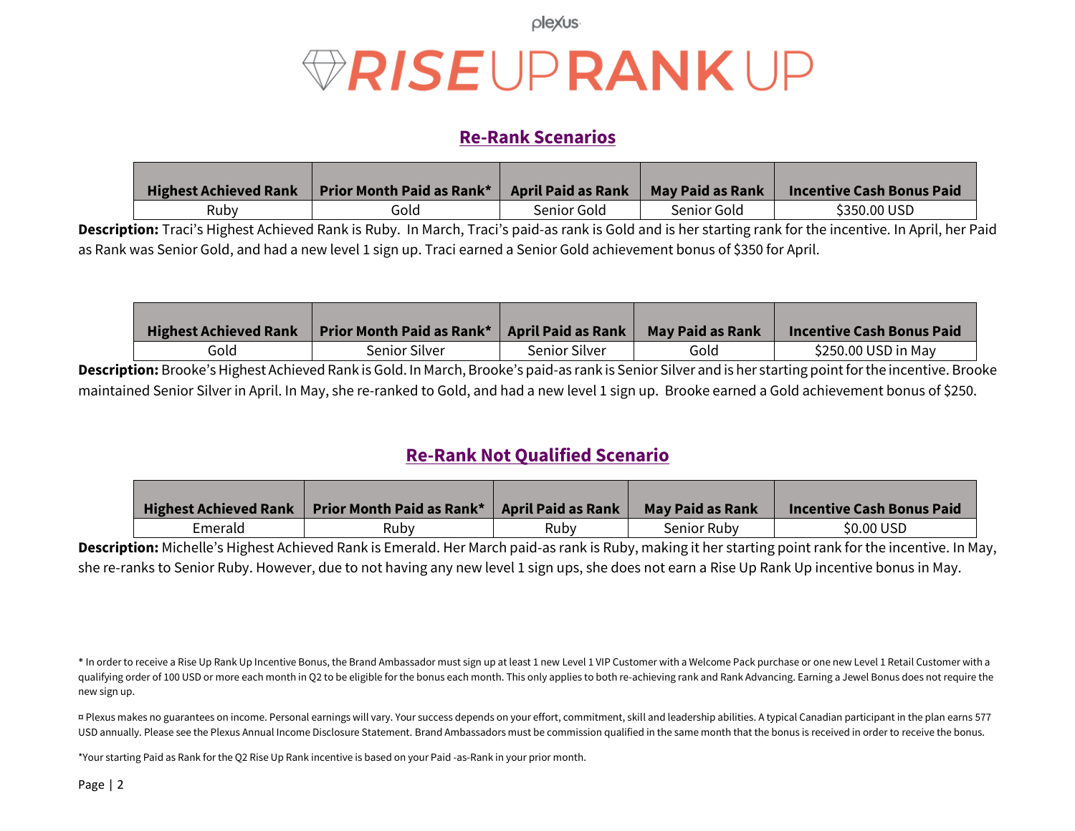plexus

# *VRISEUPRANKUP*

#### **Re-Rank Scenarios**

| <b>Highest Achieved Rank</b> | <b>Prior Month Paid as Rank*</b> | <b>April Paid as Rank</b> | May Paid as Rank | <b>Incentive Cash Bonus Paid</b> |
|------------------------------|----------------------------------|---------------------------|------------------|----------------------------------|
| Rubv                         | Gold                             | Senior Gold               | Senior Gold      | \$350.00 USD                     |

**Description:** Traci's Highest Achieved Rank is Ruby. In March, Traci's paid-as rank is Gold and is her starting rank for the incentive. In April, her Paid as Rank was Senior Gold, and had a new level 1 sign up. Traci earned a Senior Gold achievement bonus of \$350 for April.

| <b>Highest Achieved Rank</b> | <b>Prior Month Paid as Rank*</b> | <b>April Paid as Rank</b> | May Paid as Rank | <b>Incentive Cash Bonus Paid</b> |
|------------------------------|----------------------------------|---------------------------|------------------|----------------------------------|
| Gold                         | Senior Silver                    | Senior Silver             | Gold             | \$250.00 USD in May              |

**Description:** Brooke's Highest Achieved Rank is Gold. In March, Brooke's paid-as rank is Senior Silver and is her starting point for the incentive. Brooke maintained Senior Silver in April. In May, she re-ranked to Gold, and had a new level 1 sign up. Brooke earned a Gold achievement bonus of \$250.

### **Re-Rank Not Qualified Scenario**

| <b>Highest Achieved Rank</b> | Prior Month Paid as Rank* | April Paid as Rank | <b>May Paid as Rank</b> | <b>Incentive Cash Bonus Paid</b> |
|------------------------------|---------------------------|--------------------|-------------------------|----------------------------------|
| Emerald                      | Rubv                      | Ruby               | Senior Ruby             | \$0.00 USD                       |

**Description:** Michelle's Highest Achieved Rank is Emerald. Her March paid-as rank is Ruby, making it her starting point rank for the incentive. In May, she re-ranks to Senior Ruby. However, due to not having any new level 1 sign ups, she does not earn a Rise Up Rank Up incentive bonus in May.

\* In order to receive a Rise Up Rank Up Incentive Bonus, the Brand Ambassador must sign up at least 1 new Level 1 VIP Customer with a Welcome Pack purchase or one new Level 1 Retail Customer with a qualifying order of 100 USD or more each month in Q2 to be eligible for the bonus each month. This only applies to both re-achieving rank and Rank Advancing. Earning a Jewel Bonus does not require the new sign up.

¤ Plexus makes no guarantees on income. Personal earnings will vary. Your success depends on your effort, commitment, skill and leadership abilities. A typical Canadian participant in the plan earns 577 USD annually. Please see the Plexus Annual Income Disclosure Statement. Brand Ambassadors must be commission qualified in the same month that the bonus is received in order to receive the bonus.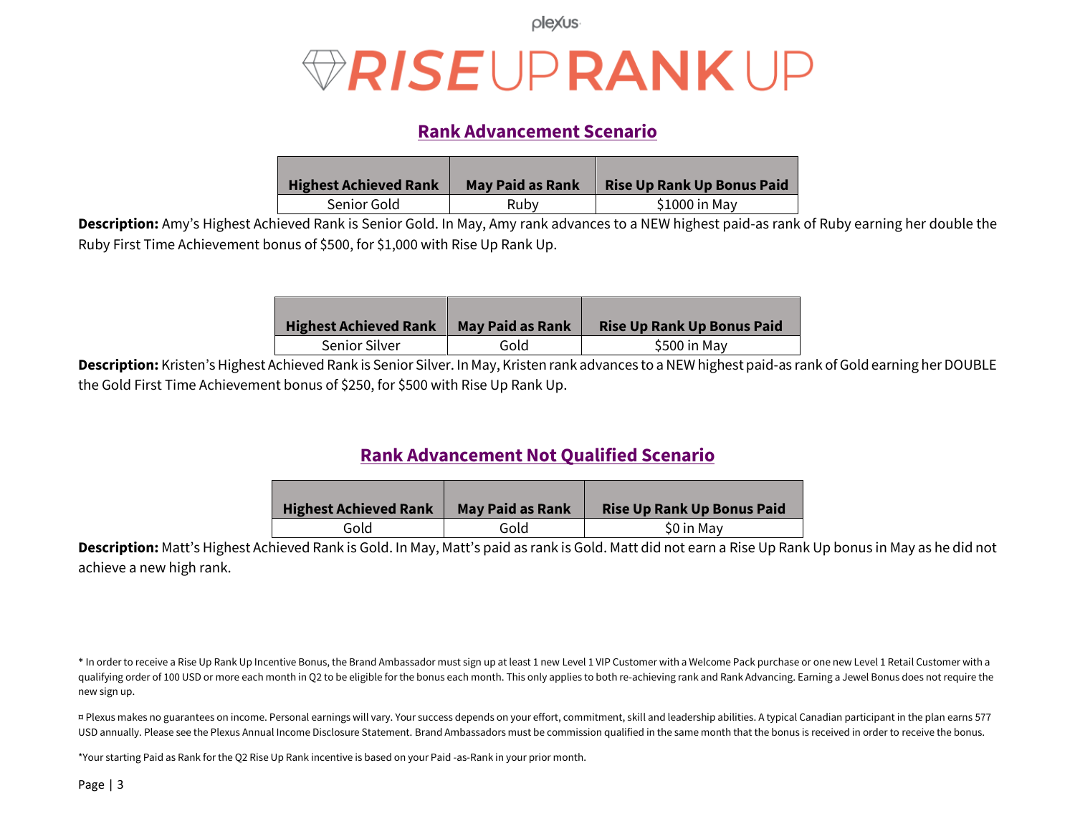plexus

## *RISEUPRANKUP*

### **Rank Advancement Scenario**

| <b>Highest Achieved Rank</b> | <b>May Paid as Rank</b> | <b>Rise Up Rank Up Bonus Paid</b> |
|------------------------------|-------------------------|-----------------------------------|
| Senior Gold                  | Ruby                    | \$1000 in May                     |

**Description:** Amy's Highest Achieved Rank is Senior Gold. In May, Amy rank advances to a NEW highest paid-as rank of Ruby earning her double the Ruby First Time Achievement bonus of \$500, for \$1,000 with Rise Up Rank Up.

| <b>Highest Achieved Rank</b> | <b>May Paid as Rank</b> | <b>Rise Up Rank Up Bonus Paid</b> |
|------------------------------|-------------------------|-----------------------------------|
| <b>Senior Silver</b>         | Gold                    | \$500 in May                      |

Description: Kristen's Highest Achieved Rank is Senior Silver. In May, Kristen rank advances to a NEW highest paid-as rank of Gold earning her DOUBLE the Gold First Time Achievement bonus of \$250, for \$500 with Rise Up Rank Up.

### **Rank Advancement Not Qualified Scenario**

| <b>Highest Achieved Rank</b> | <b>May Paid as Rank</b> | <b>Rise Up Rank Up Bonus Paid</b> |
|------------------------------|-------------------------|-----------------------------------|
| Gold                         | Gold                    | \$0 in May                        |

**Description:** Matt's Highest Achieved Rank is Gold. In May, Matt's paid as rank is Gold. Matt did not earn a Rise Up Rank Up bonus in May as he did not achieve a new high rank.

\* In order to receive a Rise Up Rank Up Incentive Bonus, the Brand Ambassador must sign up at least 1 new Level 1 VIP Customer with a Welcome Pack purchase or one new Level 1 Retail Customer with a qualifying order of 100 USD or more each month in Q2 to be eligible for the bonus each month. This only applies to both re-achieving rank and Rank Advancing. Earning a Jewel Bonus does not require the new sign up.

¤ Plexus makes no guarantees on income. Personal earnings will vary. Your success depends on your effort, commitment, skill and leadership abilities. A typical Canadian participant in the plan earns 577 USD annually. Please see the Plexus Annual Income Disclosure Statement. Brand Ambassadors must be commission qualified in the same month that the bonus is received in order to receive the bonus.